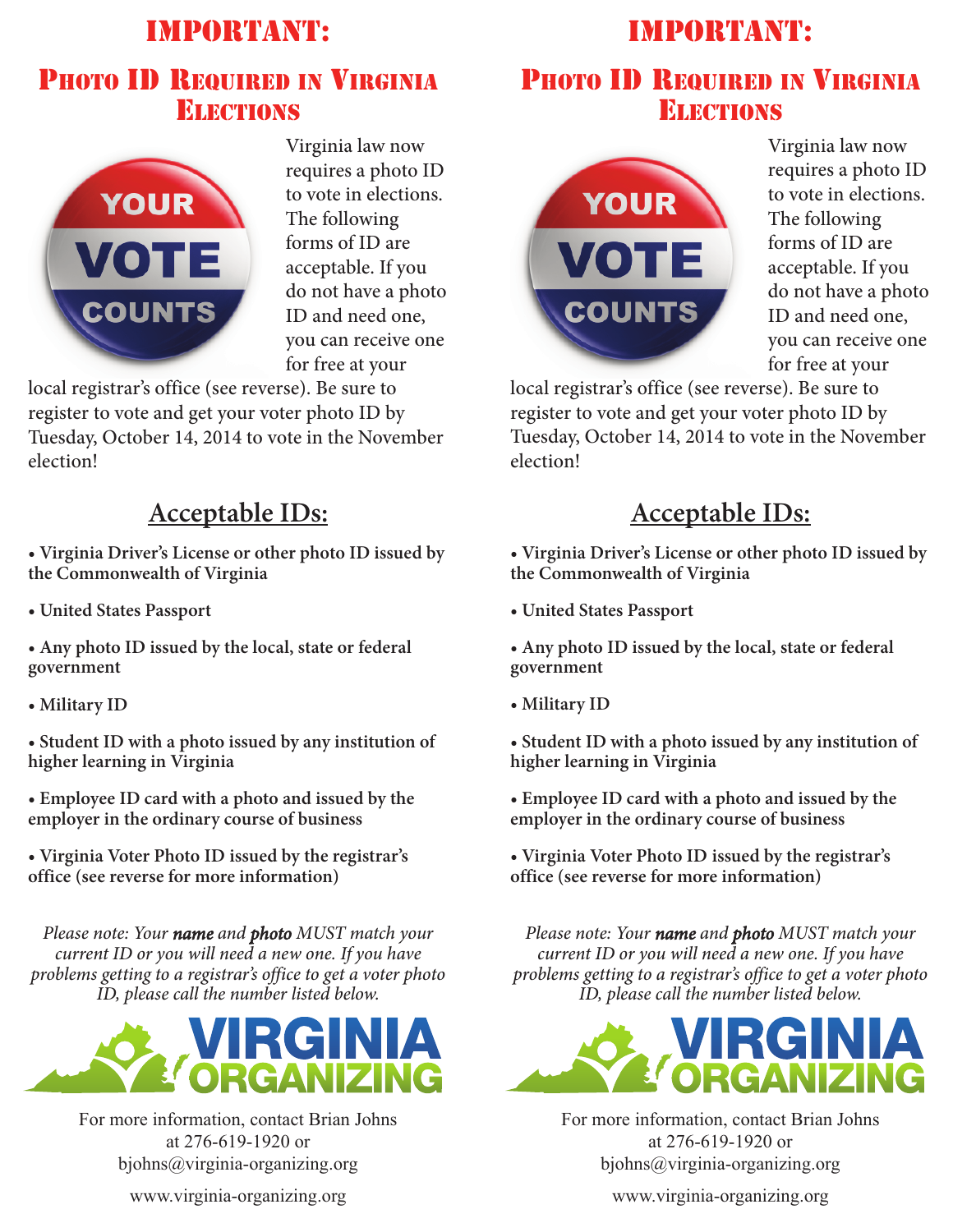# IMPORTANT: PHOTO ID REQUIRED IN VIRGINIA ELECTIONS



Virginia law now requires a photo ID to vote in elections. The following forms of ID are acceptable. If you do not have a photo ID and need one, you can receive one for free at your

local registrar's office (see reverse). Be sure to register to vote and get your voter photo ID by Tuesday, October 14, 2014 to vote in the November election!

#### **Acceptable IDs:**

**• Virginia Driver's License or other photo ID issued by the Commonwealth of Virginia**

**• United States Passport**

**• Any photo ID issued by the local, state or federal government**

**• Military ID**

**• Student ID with a photo issued by any institution of higher learning in Virginia**

**• Employee ID card with a photo and issued by the employer in the ordinary course of business**

**• Virginia Voter Photo ID issued by the registrar's office (see reverse for more information)**

*Please note: Your name and photo MUST match your current ID or you will need a new one. If you have problems getting to a registrar's office to get a voter photo ID, please call the number listed below.*



For more information, contact Brian Johns at 276-619-1920 or bjohns@virginia-organizing.org

www.virginia-organizing.org

# IMPORTANT:

## PHOTO ID REQUIRED IN VIRGINIA ELECTIONS



Virginia law now requires a photo ID to vote in elections. The following forms of ID are acceptable. If you do not have a photo ID and need one, you can receive one for free at your

local registrar's office (see reverse). Be sure to register to vote and get your voter photo ID by Tuesday, October 14, 2014 to vote in the November election!

### **Acceptable IDs:**

**• Virginia Driver's License or other photo ID issued by the Commonwealth of Virginia**

**• United States Passport**

**• Any photo ID issued by the local, state or federal government**

**• Military ID**

**• Student ID with a photo issued by any institution of higher learning in Virginia**

**• Employee ID card with a photo and issued by the employer in the ordinary course of business**

**• Virginia Voter Photo ID issued by the registrar's office (see reverse for more information)**

*Please note: Your name and photo MUST match your current ID or you will need a new one. If you have problems getting to a registrar's office to get a voter photo ID, please call the number listed below.*



For more information, contact Brian Johns at 276-619-1920 or bjohns@virginia-organizing.org

www.virginia-organizing.org